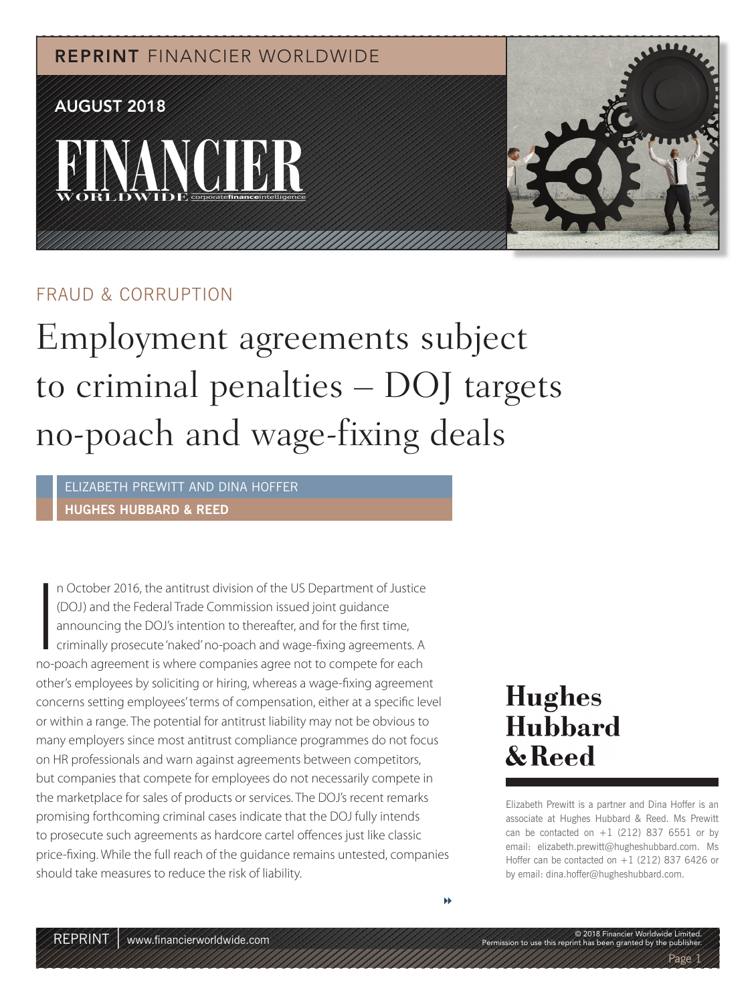REPRINT FINANCIER WORLDWIDE

# **FINANCIER** AUGUST 2018



#### FRAUD & CORRUPTION

Employment agreements subject to criminal penalties – DOJ targets no-poach and wage-fixing deals

ELIZABETH PREWITT AND DINA HOFFER **HUGHES HUBBARD & REED**

In October 2016, the antitrust division of the US Department of Justice (DOJ) and the Federal Trade Commission issued joint guidance<br>announcing the DOJ's intention to thereafter, and for the first time,<br>criminally prosecut n October 2016, the antitrust division of the US Department of Justice (DOJ) and the Federal Trade Commission issued joint guidance announcing the DOJ's intention to thereafter, and for the first time, criminally prosecute 'naked' no-poach and wage-fixing agreements. A other's employees by soliciting or hiring, whereas a wage-fixing agreement concerns setting employees' terms of compensation, either at a specific level or within a range. The potential for antitrust liability may not be obvious to many employers since most antitrust compliance programmes do not focus on HR professionals and warn against agreements between competitors, but companies that compete for employees do not necessarily compete in the marketplace for sales of products or services. The DOJ's recent remarks promising forthcoming criminal cases indicate that the DOJ fully intends to prosecute such agreements as hardcore cartel offences just like classic price-fixing. While the full reach of the guidance remains untested, companies should take measures to reduce the risk of liability.

## **Hughes** Hubbard & Reed

Elizabeth Prewitt is a partner and Dina Hoffer is an associate at Hughes Hubbard & Reed. Ms Prewitt can be contacted on  $+1$  (212) 837 6551 or by email: elizabeth.prewitt@hugheshubbard.com. Ms Hoffer can be contacted on +1 (212) 837 6426 or by email: dina.hoffer@hugheshubbard.com.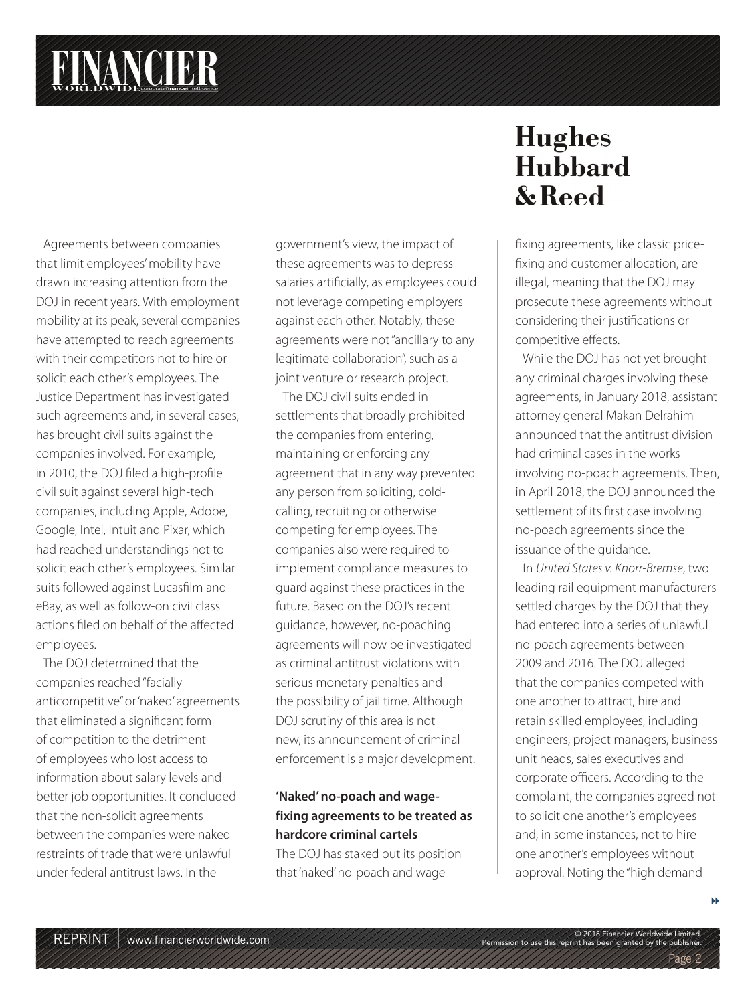Agreements between companies that limit employees' mobility have drawn increasing attention from the DOJ in recent years. With employment mobility at its peak, several companies have attempted to reach agreements with their competitors not to hire or solicit each other's employees. The Justice Department has investigated such agreements and, in several cases, has brought civil suits against the companies involved. For example, in 2010, the DOJ filed a high-profile civil suit against several high-tech companies, including Apple, Adobe, Google, Intel, Intuit and Pixar, which had reached understandings not to solicit each other's employees. Similar suits followed against Lucasfilm and eBay, as well as follow-on civil class actions filed on behalf of the affected employees.

The DOJ determined that the companies reached "facially anticompetitive" or 'naked' agreements that eliminated a significant form of competition to the detriment of employees who lost access to information about salary levels and better job opportunities. It concluded that the non-solicit agreements between the companies were naked restraints of trade that were unlawful under federal antitrust laws. In the

government's view, the impact of these agreements was to depress salaries artificially, as employees could not leverage competing employers against each other. Notably, these agreements were not "ancillary to any legitimate collaboration", such as a joint venture or research project.

The DOJ civil suits ended in settlements that broadly prohibited the companies from entering, maintaining or enforcing any agreement that in any way prevented any person from soliciting, coldcalling, recruiting or otherwise competing for employees. The companies also were required to implement compliance measures to guard against these practices in the future. Based on the DOJ's recent guidance, however, no-poaching agreements will now be investigated as criminal antitrust violations with serious monetary penalties and the possibility of jail time. Although DOJ scrutiny of this area is not new, its announcement of criminal enforcement is a major development.

#### **'Naked' no-poach and wagefixing agreements to be treated as hardcore criminal cartels**

The DOJ has staked out its position that 'naked' no-poach and wage-

### **Hughes** Hubbard & Reed

fixing agreements, like classic pricefixing and customer allocation, are illegal, meaning that the DOJ may prosecute these agreements without considering their justifications or competitive effects.

While the DOJ has not yet brought any criminal charges involving these agreements, in January 2018, assistant attorney general Makan Delrahim announced that the antitrust division had criminal cases in the works involving no-poach agreements. Then, in April 2018, the DOJ announced the settlement of its first case involving no-poach agreements since the issuance of the guidance.

In United States v. Knorr-Bremse, two leading rail equipment manufacturers settled charges by the DOJ that they had entered into a series of unlawful no-poach agreements between 2009 and 2016. The DOJ alleged that the companies competed with one another to attract, hire and retain skilled employees, including engineers, project managers, business unit heads, sales executives and corporate officers. According to the complaint, the companies agreed not to solicit one another's employees and, in some instances, not to hire one another's employees without approval. Noting the "high demand

Permission to use this reprint has been granted by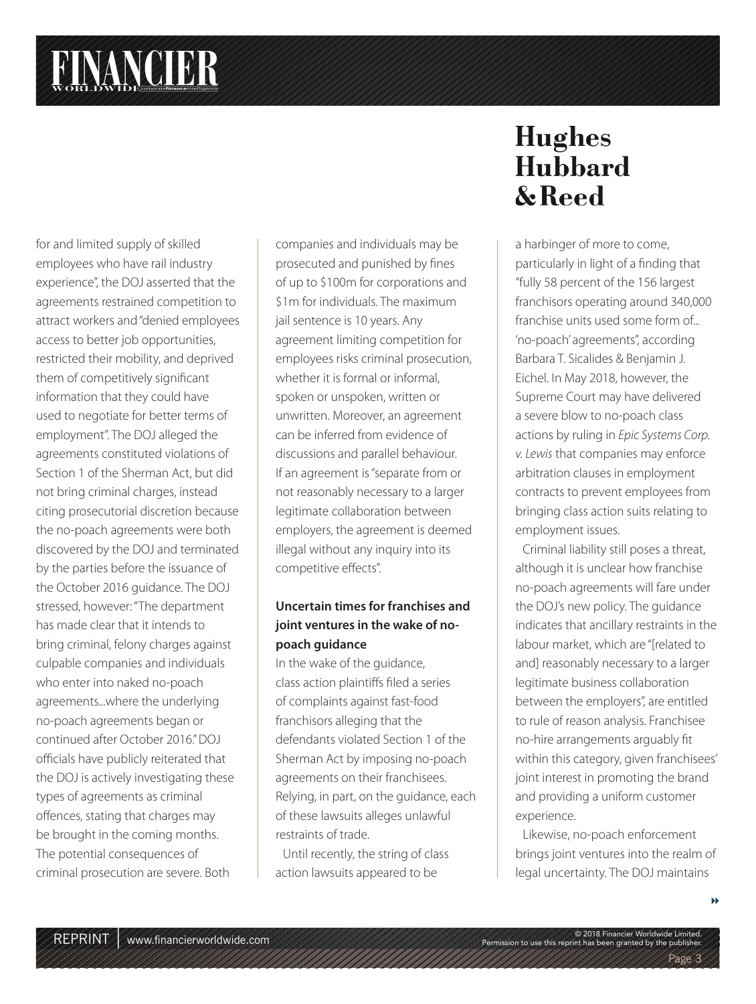for and limited supply of skilled employees who have rail industry experience", the DOJ asserted that the agreements restrained competition to attract workers and "denied employees access to better job opportunities, restricted their mobility, and deprived them of competitively significant information that they could have used to negotiate for better terms of employment". The DOJ alleged the agreements constituted violations of Section 1 of the Sherman Act, but did not bring criminal charges, instead citing prosecutorial discretion because the no-poach agreements were both discovered by the DOJ and terminated by the parties before the issuance of the October 2016 guidance. The DOJ stressed, however: "The department has made clear that it intends to bring criminal, felony charges against culpable companies and individuals who enter into naked no-poach agreements...where the underlying no-poach agreements began or continued after October 2016." DOJ officials have publicly reiterated that the DOJ is actively investigating these types of agreements as criminal offences, stating that charges may be brought in the coming months. The potential consequences of criminal prosecution are severe. Both

companies and individuals may be prosecuted and punished by fines of up to \$100m for corporations and \$1m for individuals. The maximum jail sentence is 10 years. Any agreement limiting competition for employees risks criminal prosecution, whether it is formal or informal, spoken or unspoken, written or unwritten. Moreover, an agreement can be inferred from evidence of discussions and parallel behaviour. If an agreement is "separate from or not reasonably necessary to a larger legitimate collaboration between employers, the agreement is deemed illegal without any inquiry into its competitive effects".

#### **Uncertain times for franchises and joint ventures in the wake of nopoach guidance**

In the wake of the guidance, class action plaintiffs filed a series of complaints against fast-food franchisors alleging that the defendants violated Section 1 of the Sherman Act by imposing no-poach agreements on their franchisees. Relying, in part, on the guidance, each of these lawsuits alleges unlawful restraints of trade.

Until recently, the string of class action lawsuits appeared to be

### **Hughes** Hubbard & Reed

a harbinger of more to come, particularly in light of a finding that "fully 58 percent of the 156 largest franchisors operating around 340,000 franchise units used some form of... 'no-poach' agreements", according Barbara T. Sicalides & Benjamin J. Eichel. In May 2018, however, the Supreme Court may have delivered a severe blow to no-poach class actions by ruling in Epic Systems Corp. v. Lewis that companies may enforce arbitration clauses in employment contracts to prevent employees from bringing class action suits relating to employment issues.

Criminal liability still poses a threat, although it is unclear how franchise no-poach agreements will fare under the DOJ's new policy. The guidance indicates that ancillary restraints in the labour market, which are "[related to and] reasonably necessary to a larger legitimate business collaboration between the employers", are entitled to rule of reason analysis. Franchisee no-hire arrangements arguably fit within this category, given franchisees' joint interest in promoting the brand and providing a uniform customer experience.

Likewise, no-poach enforcement brings joint ventures into the realm of legal uncertainty. The DOJ maintains

Permission to use this reprint has been granted by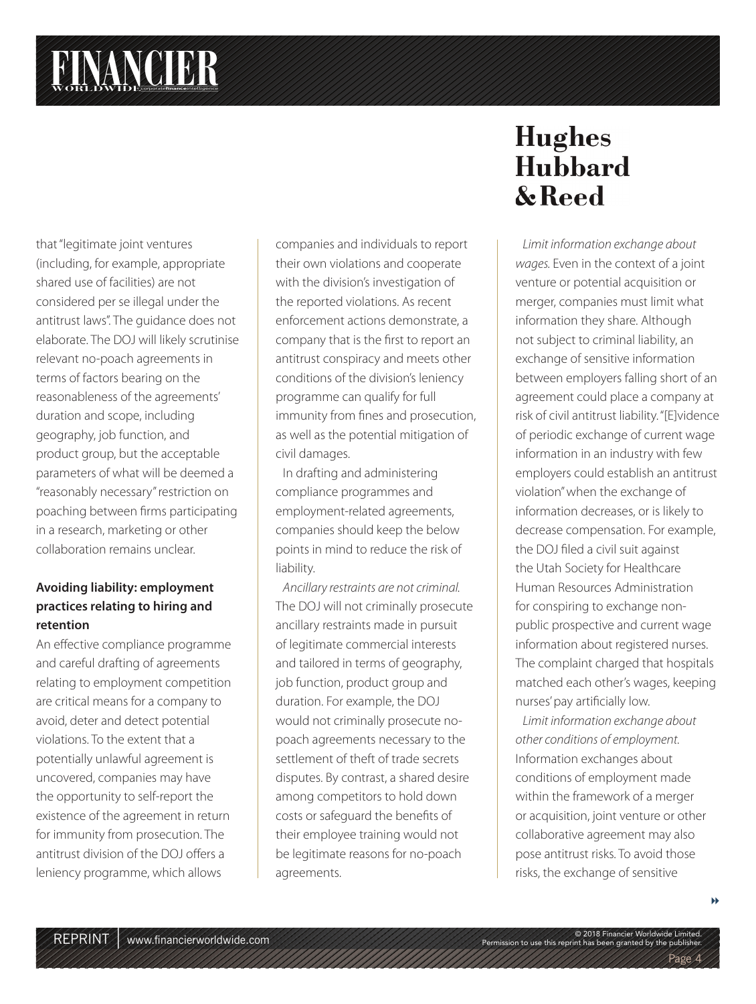that "legitimate joint ventures (including, for example, appropriate shared use of facilities) are not considered per se illegal under the antitrust laws". The guidance does not elaborate. The DOJ will likely scrutinise relevant no-poach agreements in terms of factors bearing on the reasonableness of the agreements' duration and scope, including geography, job function, and product group, but the acceptable parameters of what will be deemed a "reasonably necessary" restriction on poaching between firms participating in a research, marketing or other collaboration remains unclear.

#### **Avoiding liability: employment practices relating to hiring and retention**

An effective compliance programme and careful drafting of agreements relating to employment competition are critical means for a company to avoid, deter and detect potential violations. To the extent that a potentially unlawful agreement is uncovered, companies may have the opportunity to self-report the existence of the agreement in return for immunity from prosecution. The antitrust division of the DOJ offers a leniency programme, which allows

companies and individuals to report their own violations and cooperate with the division's investigation of the reported violations. As recent enforcement actions demonstrate, a company that is the first to report an antitrust conspiracy and meets other conditions of the division's leniency programme can qualify for full immunity from fines and prosecution, as well as the potential mitigation of civil damages.

In drafting and administering compliance programmes and employment-related agreements, companies should keep the below points in mind to reduce the risk of liability.

Ancillary restraints are not criminal. The DOJ will not criminally prosecute ancillary restraints made in pursuit of legitimate commercial interests and tailored in terms of geography, job function, product group and duration. For example, the DOJ would not criminally prosecute nopoach agreements necessary to the settlement of theft of trade secrets disputes. By contrast, a shared desire among competitors to hold down costs or safequard the benefits of their employee training would not be legitimate reasons for no-poach agreements.

### **Hughes** Hubbard & Reed

Limit information exchange about wages. Even in the context of a joint venture or potential acquisition or merger, companies must limit what information they share. Although not subject to criminal liability, an exchange of sensitive information between employers falling short of an agreement could place a company at risk of civil antitrust liability. "[E]vidence of periodic exchange of current wage information in an industry with few employers could establish an antitrust violation" when the exchange of information decreases, or is likely to decrease compensation. For example, the DOJ filed a civil suit against the Utah Society for Healthcare Human Resources Administration for conspiring to exchange nonpublic prospective and current wage information about registered nurses. The complaint charged that hospitals matched each other's wages, keeping nurses' pay artificially low.

Limit information exchange about other conditions of employment. Information exchanges about conditions of employment made within the framework of a merger or acquisition, joint venture or other collaborative agreement may also pose antitrust risks. To avoid those risks, the exchange of sensitive

Permission to use this reprint has been granted by